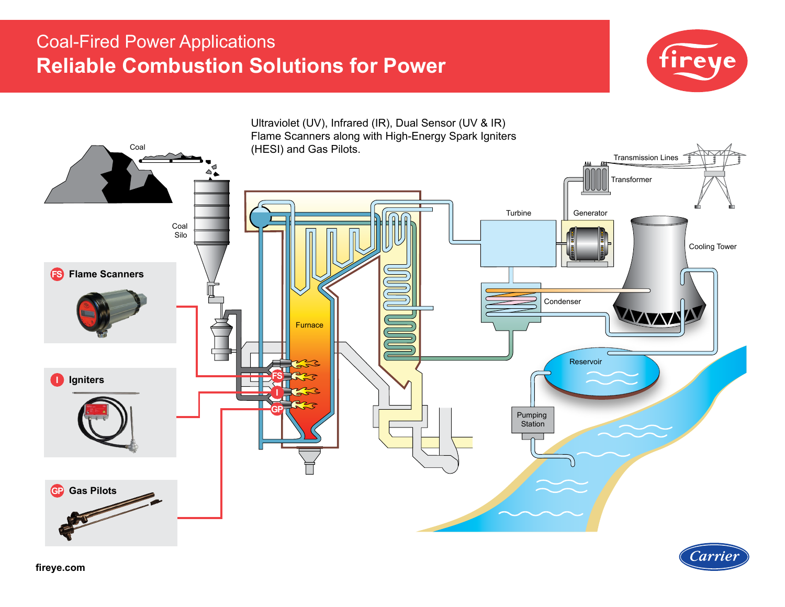# Coal-Fired Power Applications **Reliable Combustion Solutions for Power**